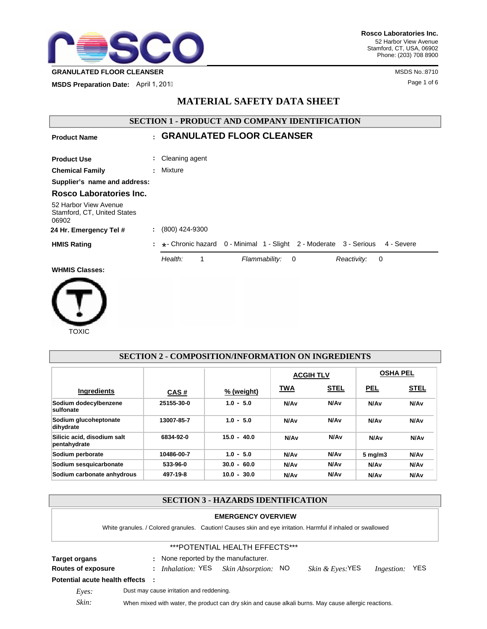

**MSDS Preparation Date:** April 1, 2011 **April 1, 2018 Page 1 of 6** 

# **MATERIAL SAFETY DATA SHEET**

| <b>SECTION 1 - PRODUCT AND COMPANY IDENTIFICATION</b>         |    |                                                                                 |
|---------------------------------------------------------------|----|---------------------------------------------------------------------------------|
| <b>Product Name</b>                                           |    | : GRANULATED FLOOR CLEANSER                                                     |
| <b>Product Use</b>                                            |    | Cleaning agent                                                                  |
| <b>Chemical Family</b>                                        |    | : Mixture                                                                       |
| Supplier's name and address:                                  |    |                                                                                 |
| Rosco Laboratories Inc.                                       |    |                                                                                 |
| 52 Harbor View Avenue<br>Stamford, CT, United States<br>06902 |    |                                                                                 |
| 24 Hr. Emergency Tel #                                        |    | (800) 424-9300                                                                  |
| <b>HMIS Rating</b>                                            | ÷. | *- Chronic hazard 0 - Minimal 1 - Slight 2 - Moderate 3 - Serious<br>4 - Severe |
|                                                               |    | Health:<br>Flammability:<br>Reactivity:<br>1<br>$\mathbf 0$<br>0                |
| <b>WHMIS Classes:</b>                                         |    |                                                                                 |
|                                                               |    |                                                                                 |



|                                             |            | SECTION 2 - COMPOSITION/INFORMATION ON INGREDIENTS |                  |                  |                  |                  |
|---------------------------------------------|------------|----------------------------------------------------|------------------|------------------|------------------|------------------|
|                                             |            |                                                    | <b>ACGIH TLV</b> |                  | <b>OSHA PEL</b>  |                  |
| <b>Ingredients</b>                          | CAS#       | % (weight)                                         | TWA              | <u>STEL</u>      | <b>PEL</b>       | <b>STEL</b>      |
| Sodium dodecylbenzene<br>sulfonate          | 25155-30-0 | $1.0 - 5.0$                                        | N/A <sub>v</sub> | N/A <sub>v</sub> | N/A <sub>v</sub> | N/Av             |
| Sodium glucoheptonate<br>dihydrate          | 13007-85-7 | $1.0 - 5.0$                                        | N/A <sub>v</sub> | N/A <sub>v</sub> | N/A <sub>v</sub> | N/Av             |
| Silicic acid, disodium salt<br>pentahydrate | 6834-92-0  | $15.0 - 40.0$                                      | N/A <sub>v</sub> | N/Av             | N/A <sub>v</sub> | N/A <sub>v</sub> |
| Sodium perborate                            | 10486-00-7 | $1.0 - 5.0$                                        | N/A <sub>v</sub> | N/A <sub>v</sub> | $5 \text{ mg/m}$ | N/Av             |
| Sodium sesquicarbonate                      | 533-96-0   | $30.0 - 60.0$                                      | N/A <sub>v</sub> | N/A <sub>v</sub> | N/A <sub>v</sub> | N/Av             |
| Sodium carbonate anhydrous                  | 497-19-8   | $10.0 - 30.0$                                      | N/A <sub>v</sub> | N/A <sub>v</sub> | N/Av             | N/Av             |

**SECTION 2 - COMPOSITION/INFORMATION ON INGREDIENTS**

# **SECTION 3 - HAZARDS IDENTIFICATION**

### **EMERGENCY OVERVIEW**

White granules. / Colored granules. Caution! Causes skin and eye irritation. Harmful if inhaled or swallowed

## \*\*\*POTENTIAL HEALTH EFFECTS\*\*\*

**Target organs :** None reported by the manufacturer.

- **Routes of exposure :** *Inhalation:* YES *Skin Absorption:* NO *Skin & Eyes:*YES *Ingestion:* YES
- **Potential acute health effects :**
	-
	-
	- *Eyes:* Dust may cause irritation and reddening.

*Skin:* When mixed with water, the product can dry skin and cause alkali burns. May cause allergic reactions.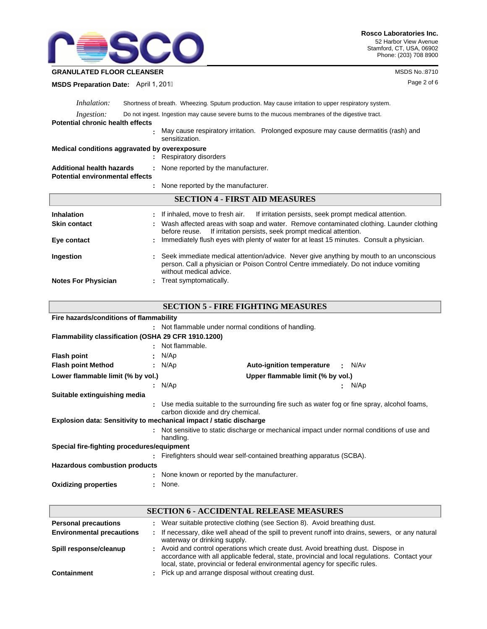

## **GRANULATED FLOOR CLEANSER** MSDS No.:8710

**MSDS Preparation Date:** April 1, 2011

| <i>Inhalation:</i>                      | Shortness of breath. Wheezing. Sputum production. May cause irritation to upper respiratory system.                                                                                                         |  |  |  |
|-----------------------------------------|-------------------------------------------------------------------------------------------------------------------------------------------------------------------------------------------------------------|--|--|--|
| <i>Ingestion:</i>                       | Do not ingest. Ingestion may cause severe burns to the mucous membranes of the digestive tract.                                                                                                             |  |  |  |
| <b>Potential chronic health effects</b> |                                                                                                                                                                                                             |  |  |  |
|                                         | May cause respiratory irritation. Prolonged exposure may cause dermatitis (rash) and<br>sensitization.                                                                                                      |  |  |  |
|                                         | Medical conditions aggravated by overexposure                                                                                                                                                               |  |  |  |
|                                         | : Respiratory disorders                                                                                                                                                                                     |  |  |  |
| <b>Additional health hazards</b>        | : None reported by the manufacturer.                                                                                                                                                                        |  |  |  |
|                                         | <b>Potential environmental effects</b>                                                                                                                                                                      |  |  |  |
|                                         | : None reported by the manufacturer.                                                                                                                                                                        |  |  |  |
|                                         | <b>SECTION 4 - FIRST AID MEASURES</b>                                                                                                                                                                       |  |  |  |
| <b>Inhalation</b>                       | If inhaled, move to fresh air. If irritation persists, seek prompt medical attention.                                                                                                                       |  |  |  |
| <b>Skin contact</b>                     | Wash affected areas with soap and water. Remove contaminated clothing. Launder clothing<br>If irritation persists, seek prompt medical attention.<br>before reuse.                                          |  |  |  |
| Eye contact                             | : Immediately flush eyes with plenty of water for at least 15 minutes. Consult a physician.                                                                                                                 |  |  |  |
| Ingestion                               | Seek immediate medical attention/advice. Never give anything by mouth to an unconscious<br>person. Call a physician or Poison Control Centre immediately. Do not induce vomiting<br>without medical advice. |  |  |  |
| <b>Notes For Physician</b>              | : Treat symptomatically.                                                                                                                                                                                    |  |  |  |

| Fire hazards/conditions of flammability                             |                                                      |                                                                                              |            |
|---------------------------------------------------------------------|------------------------------------------------------|----------------------------------------------------------------------------------------------|------------|
|                                                                     | : Not flammable under normal conditions of handling. |                                                                                              |            |
| Flammability classification (OSHA 29 CFR 1910.1200)                 |                                                      |                                                                                              |            |
|                                                                     | : Not flammable.                                     |                                                                                              |            |
| <b>Flash point</b>                                                  | $\cdot$ N/Ap                                         |                                                                                              |            |
| <b>Flash point Method</b>                                           | : $N/Ap$                                             | <b>Auto-ignition temperature</b>                                                             | : N/Av     |
| Lower flammable limit (% by vol.)                                   |                                                      | Upper flammable limit (% by vol.)                                                            |            |
|                                                                     | : $N/Ap$                                             |                                                                                              | N/Ap<br>۰. |
| Suitable extinguishing media                                        |                                                      |                                                                                              |            |
|                                                                     | carbon dioxide and dry chemical.                     | : Use media suitable to the surrounding fire such as water fog or fine spray, alcohol foams, |            |
| Explosion data: Sensitivity to mechanical impact / static discharge |                                                      |                                                                                              |            |
|                                                                     | handling.                                            | : Not sensitive to static discharge or mechanical impact under normal conditions of use and  |            |
| Special fire-fighting procedures/equipment                          |                                                      |                                                                                              |            |
|                                                                     |                                                      | : Firefighters should wear self-contained breathing apparatus (SCBA).                        |            |
| <b>Hazardous combustion products</b>                                |                                                      |                                                                                              |            |
|                                                                     | None known or reported by the manufacturer.          |                                                                                              |            |
| <b>Oxidizing properties</b>                                         | None.                                                |                                                                                              |            |

|                                  | <b>SECTION 6 - ACCIDENTAL RELEASE MEASURES</b>                                                                                                                                                                                                                      |
|----------------------------------|---------------------------------------------------------------------------------------------------------------------------------------------------------------------------------------------------------------------------------------------------------------------|
| <b>Personal precautions</b>      | : Wear suitable protective clothing (see Section 8). Avoid breathing dust.                                                                                                                                                                                          |
| <b>Environmental precautions</b> | : If necessary, dike well ahead of the spill to prevent runoff into drains, sewers, or any natural<br>waterway or drinking supply.                                                                                                                                  |
| Spill response/cleanup           | : Avoid and control operations which create dust. Avoid breathing dust. Dispose in<br>accordance with all applicable federal, state, provincial and local regulations. Contact your<br>local, state, provincial or federal environmental agency for specific rules. |
| <b>Containment</b>               | : Pick up and arrange disposal without creating dust.                                                                                                                                                                                                               |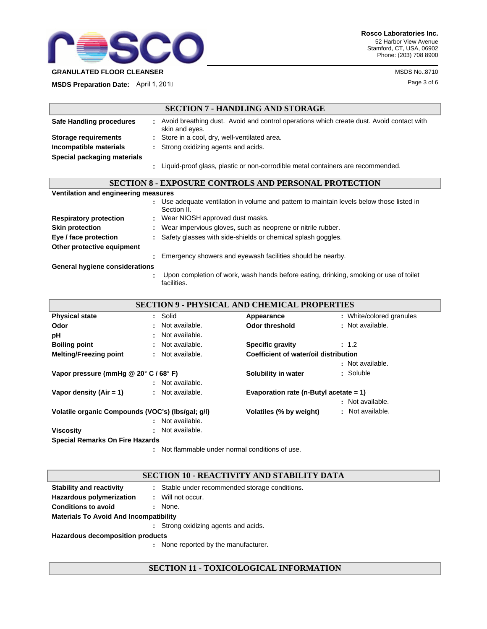

**MSDS Preparation Date:** April 1, 2011

|                                       | <b>SECTION 7 - HANDLING AND STORAGE</b>                                                                      |
|---------------------------------------|--------------------------------------------------------------------------------------------------------------|
| Safe Handling procedures              | : Avoid breathing dust. Avoid and control operations which create dust. Avoid contact with<br>skin and eyes. |
| Storage requirements                  | : Store in a cool, dry, well-ventilated area.                                                                |
| Incompatible materials                | : Strong oxidizing agents and acids.                                                                         |
| Special packaging materials           |                                                                                                              |
|                                       | : Liquid-proof glass, plastic or non-corrodible metal containers are recommended.                            |
|                                       | <b>SECTION 8 - EXPOSURE CONTROLS AND PERSONAL PROTECTION</b>                                                 |
| Ventilation and engineering measures  |                                                                                                              |
|                                       | : Use adequate ventilation in volume and pattern to maintain levels below those listed in<br>Section II.     |
| <b>Respiratory protection</b>         | : Wear NIOSH approved dust masks.                                                                            |
| <b>Skin protection</b>                | Wear impervious gloves, such as neoprene or nitrile rubber.                                                  |
| Eye / face protection                 | : Safety glasses with side-shields or chemical splash goggles.                                               |
| Other protective equipment            |                                                                                                              |
|                                       | Emergency showers and eyewash facilities should be nearby.                                                   |
| <b>General hygiene considerations</b> |                                                                                                              |
|                                       | Upon completion of work, wash hands before eating, drinking, smoking or use of toilet<br>facilities.         |

|                                                             |                  | <b>SECTION 9 - PHYSICAL AND CHEMICAL PROPERTIES</b> |                          |
|-------------------------------------------------------------|------------------|-----------------------------------------------------|--------------------------|
| <b>Physical state</b>                                       | : Solid          | Appearance                                          | : White/colored granules |
| Odor                                                        | : Not available. | <b>Odor threshold</b>                               | : Not available.         |
| рH                                                          | : Not available. |                                                     |                          |
| <b>Boiling point</b>                                        | : Not available. | <b>Specific gravity</b>                             | : 1.2                    |
| <b>Melting/Freezing point</b>                               | : Not available. | Coefficient of water/oil distribution               |                          |
|                                                             |                  |                                                     | : Not available.         |
| Vapor pressure (mmHq $@$ 20 $^{\circ}$ C / 68 $^{\circ}$ F) |                  | Solubility in water                                 | : Soluble                |
|                                                             | : Not available. |                                                     |                          |
| Vapor density $(Air = 1)$                                   | : Not available. | Evaporation rate (n-Butyl acetate $= 1$ )           |                          |
|                                                             |                  |                                                     | : Not available.         |
| Volatile organic Compounds (VOC's) (lbs/gal; g/l)           |                  | Volatiles (% by weight)                             | : Not available.         |
|                                                             | : Not available. |                                                     |                          |
| <b>Viscosity</b>                                            | Not available.   |                                                     |                          |
| <b>Special Remarks On Fire Hazards</b>                      |                  |                                                     |                          |

Not flammable under normal conditions of use. **:**

# **SECTION 10 - REACTIVITY AND STABILITY DATA**

| <b>Stability and reactivity</b>               |   | : Stable under recommended storage conditions. |
|-----------------------------------------------|---|------------------------------------------------|
| Hazardous polymerization                      |   | Will not occur.                                |
| <b>Conditions to avoid</b>                    |   | None.                                          |
| <b>Materials To Avoid And Incompatibility</b> |   |                                                |
|                                               |   | : Strong oxidizing agents and acids.           |
| Hazardous decomposition products              |   |                                                |
|                                               | ÷ | None reported by the manufacturer.             |

# **SECTION 11 - TOXICOLOGICAL INFORMATION**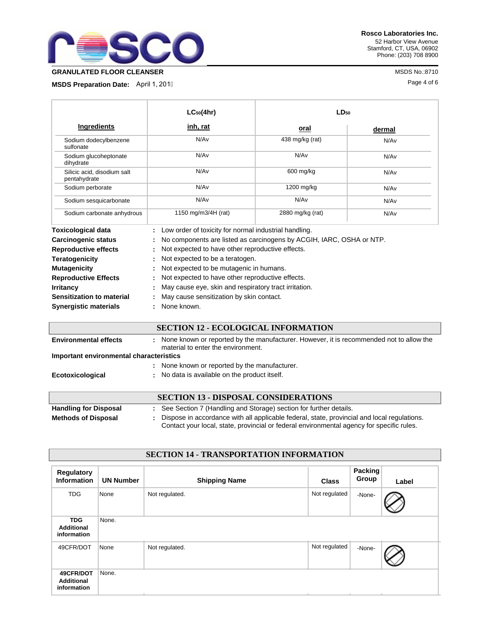

**Rosco Laboratories Inc.** 52 Harbor View Avenue Stamford, CT, USA, 06902 Phone: (203) 708 8900

**MSDS Preparation Date:** April 1, 2011

|                                                                                        | $LC_{50}(4hr)$                                                                                                                                        | $LD_{50}$                                                            |        |
|----------------------------------------------------------------------------------------|-------------------------------------------------------------------------------------------------------------------------------------------------------|----------------------------------------------------------------------|--------|
| <b>Ingredients</b>                                                                     | <u>inh, rat</u>                                                                                                                                       | oral                                                                 | dermal |
| Sodium dodecylbenzene<br>sulfonate                                                     | N/A <sub>v</sub>                                                                                                                                      | 438 mg/kg (rat)                                                      | N/Av   |
| Sodium glucoheptonate<br>dihydrate                                                     | N/Av                                                                                                                                                  | N/Av                                                                 | N/Av   |
| Silicic acid, disodium salt<br>pentahydrate                                            | N/Av                                                                                                                                                  | 600 mg/kg                                                            | N/Av   |
| Sodium perborate                                                                       | N/Av                                                                                                                                                  | 1200 mg/kg                                                           | N/Av   |
| Sodium sesquicarbonate                                                                 | N/Av                                                                                                                                                  | N/A <sub>v</sub>                                                     | N/Av   |
| Sodium carbonate anhydrous                                                             | 1150 mg/m3/4H (rat)                                                                                                                                   | 2880 mg/kg (rat)                                                     | N/Av   |
| <b>Toxicological data</b><br><b>Carcinogenic status</b><br><b>Reproductive effects</b> | Low order of toxicity for normal industrial handling.<br>Not expected to have other reproductive effects.                                             | No components are listed as carcinogens by ACGIH, IARC, OSHA or NTP. |        |
| <b>Teratogenicity</b><br><b>Mutagenicity</b>                                           | Not expected to be a teratogen.<br>Not expected to be mutagenic in humans.                                                                            |                                                                      |        |
| <b>Reproductive Effects</b><br><b>Irritancy</b><br>Sensitization to material           | Not expected to have other reproductive effects.<br>May cause eye, skin and respiratory tract irritation.<br>May cause sensitization by skin contact. |                                                                      |        |
| <b>Synergistic materials</b>                                                           | None known.                                                                                                                                           |                                                                      |        |

# **SECTION 12 - ECOLOGICAL INFORMATION**

| <b>Environmental effects</b><br>Important environmental characteristics | <b>.</b> | None known or reported by the manufacturer. However, it is recommended not to allow the<br>material to enter the environment. |
|-------------------------------------------------------------------------|----------|-------------------------------------------------------------------------------------------------------------------------------|
|                                                                         |          | : None known or reported by the manufacturer.                                                                                 |
| Ecotoxicological                                                        |          | : No data is available on the product itself.                                                                                 |
|                                                                         |          | <b>SECTION 13 - DISPOSAL CONSIDERATIONS</b>                                                                                   |

|                              | <b>SECTION 13 - DISPOSAL CONSIDERATIONS</b>                                                 |
|------------------------------|---------------------------------------------------------------------------------------------|
| <b>Handling for Disposal</b> | : See Section 7 (Handling and Storage) section for further details.                         |
| <b>Methods of Disposal</b>   | Dispose in accordance with all applicable federal, state, provincial and local regulations. |
|                              | Contact your local, state, provincial or federal environmental agency for specific rules.   |

| $0 - 1 - 1$<br>THE REPORT OF PERSONS TO BE A RESIDENT OF A |                  |                      |               |                  |       |  |  |
|------------------------------------------------------------|------------------|----------------------|---------------|------------------|-------|--|--|
| <b>Regulatory</b><br><b>Information</b>                    | <b>UN Number</b> | <b>Shipping Name</b> | <b>Class</b>  | Packing<br>Group | Label |  |  |
| <b>TDG</b>                                                 | None             | Not regulated.       | Not regulated | -None-           |       |  |  |
| <b>TDG</b><br><b>Additional</b><br>information             | None.            |                      |               |                  |       |  |  |
| 49CFR/DOT                                                  | None             | Not regulated.       | Not regulated | -None-           |       |  |  |
| 49CFR/DOT<br><b>Additional</b><br>information              | None.            |                      |               |                  |       |  |  |

# **SECTION 14 - TRANSPORTATION INFORMATION**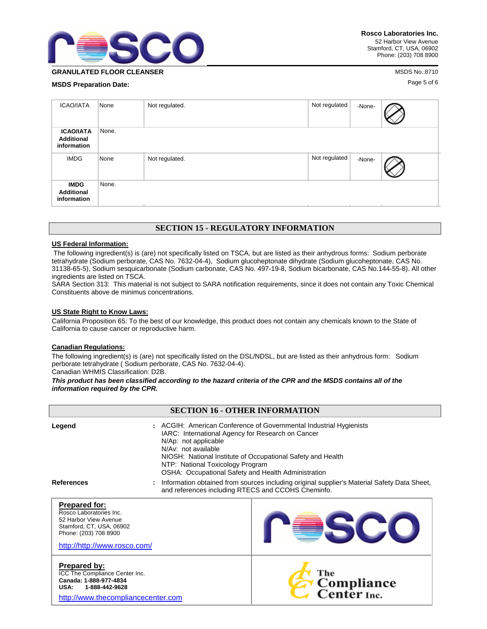

**GRANULATED FLOOR CLEANSER** MANUSIAL CONSULTING A STATE OF A STATE OF A STATE OF A STATE OF A STATE OF A STATE OF A STATE OF A STATE OF A STATE OF A STATE OF A STATE OF A STATE OF A STATE OF A STATE OF A STATE OF A STATE O

**MSDS Preparation Date:** Page 5 of 6

| <b>ICAO/IATA</b>                                     | None  | Not regulated. | Not regulated | -None- |  |
|------------------------------------------------------|-------|----------------|---------------|--------|--|
| <b>ICAO/IATA</b><br><b>Additional</b><br>information | None. |                |               |        |  |
| <b>IMDG</b>                                          | None  | Not regulated. | Not regulated | -None- |  |
| <b>IMDG</b><br><b>Additional</b><br>information      | None. |                |               |        |  |

## **SECTION 15 - REGULATORY INFORMATION**

#### **US Federal Information:**

 The following ingredient(s) is (are) not specifically listed on TSCA, but are listed as their anhydrous forms: Sodium perborate tetrahydrate (Sodium perborate, CAS No. 7632-04-4), Sodium glucoheptonate dihydrate (Sodium glucoheptonate, CAS No. 31138-65-5), Sodium sesquicarbonate (Sodium carbonate, CAS No. 497-19-8, Sodium bicarbonate, CAS No.144-55-8). All other ingredients are listed on TSCA.

SARA Section 313: This material is not subject to SARA notification requirements, since it does not contain any Toxic Chemical Constituents above de minimus concentrations.

#### **US State Right to Know Laws:**

California Proposition 65: To the best of our knowledge, this product does not contain any chemicals known to the State of California to cause cancer or reproductive harm.

#### **Canadian Regulations:**

The following ingredient(s) is (are) not specifically listed on the DSL/NDSL, but are listed as their anhydrous form: Sodium perborate tetrahydrate ( Sodium perborate, CAS No. 7632-04-4).

Canadian WHMIS Classification: D2B.

*This product has been classified according to the hazard criteria of the CPR and the MSDS contains all of the information required by the CPR.*

| <b>SECTION 16 - OTHER INFORMATION</b>                                                                                                                         |                                                                                                                                                                                                                                                                                                                                  |                                                                                                                                                   |  |  |  |
|---------------------------------------------------------------------------------------------------------------------------------------------------------------|----------------------------------------------------------------------------------------------------------------------------------------------------------------------------------------------------------------------------------------------------------------------------------------------------------------------------------|---------------------------------------------------------------------------------------------------------------------------------------------------|--|--|--|
| Legend                                                                                                                                                        | : ACGIH: American Conference of Governmental Industrial Hygienists<br>IARC: International Agency for Research on Cancer<br>N/Ap: not applicable<br>N/Av: not available<br>NIOSH: National Institute of Occupational Safety and Health<br>NTP: National Toxicology Program<br>OSHA: Occupational Safety and Health Administration |                                                                                                                                                   |  |  |  |
| <b>References</b>                                                                                                                                             |                                                                                                                                                                                                                                                                                                                                  | Information obtained from sources including original supplier's Material Safety Data Sheet,<br>and references including RTECS and CCOHS Cheminfo. |  |  |  |
| <b>Prepared for:</b><br>Rosco Laboratories Inc.<br>52 Harbor View Avenue<br>Stamford, CT, USA, 06902<br>Phone: (203) 708 8900<br>http://http://www.rosco.com/ |                                                                                                                                                                                                                                                                                                                                  |                                                                                                                                                   |  |  |  |
| <b>Prepared by:</b><br>ICC The Compliance Center Inc.<br>Canada: 1-888-977-4834<br><b>USA:</b><br>1-888-442-9628<br>http://www.thecompliancecenter.com        |                                                                                                                                                                                                                                                                                                                                  | The<br>Compliance<br>Center Inc.                                                                                                                  |  |  |  |